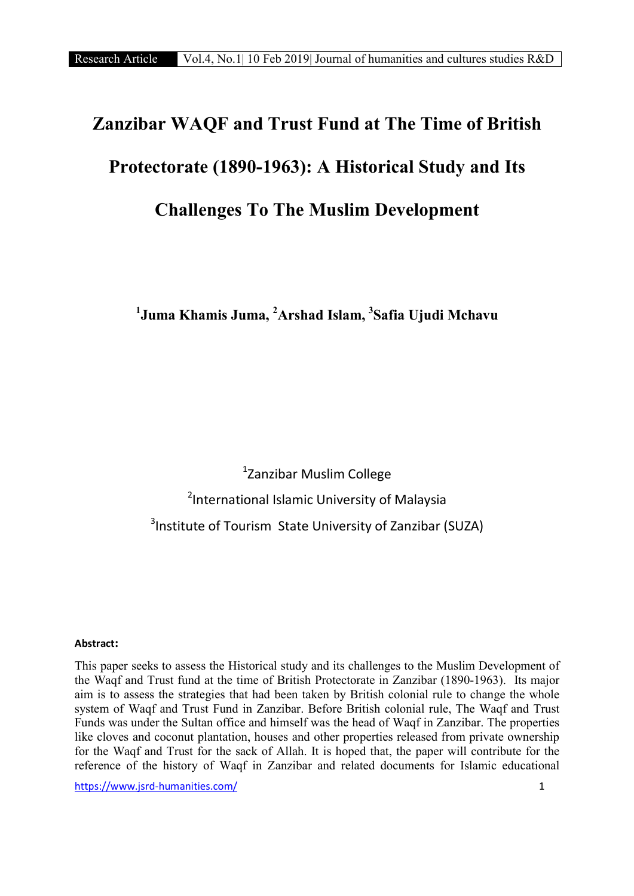# Zanzibar WAQF and Trust Fund at The Time of British Protectorate (1890-1963): A Historical Study and Its Challenges To The Muslim Development

 $^1$ Juma Khamis Juma,  $^2$ Arshad Islam,  $^3$ Safia Ujudi Mchavu

1 Zanzibar Muslim College <sup>2</sup>International Islamic University of Malaysia <sup>3</sup>Institute of Tourism State University of Zanzibar (SUZA)

#### **Abstract**:

This paper seeks to assess the Historical study and its challenges to the Muslim Development of the Waqf and Trust fund at the time of British Protectorate in Zanzibar (1890-1963). Its major aim is to assess the strategies that had been taken by British colonial rule to change the whole system of Waqf and Trust Fund in Zanzibar. Before British colonial rule, The Waqf and Trust Funds was under the Sultan office and himself was the head of Waqf in Zanzibar. The properties like cloves and coconut plantation, houses and other properties released from private ownership for the Waqf and Trust for the sack of Allah. It is hoped that, the paper will contribute for the reference of the history of Waqf in Zanzibar and related documents for Islamic educational

https://www.jsrd-humanities.com/ 1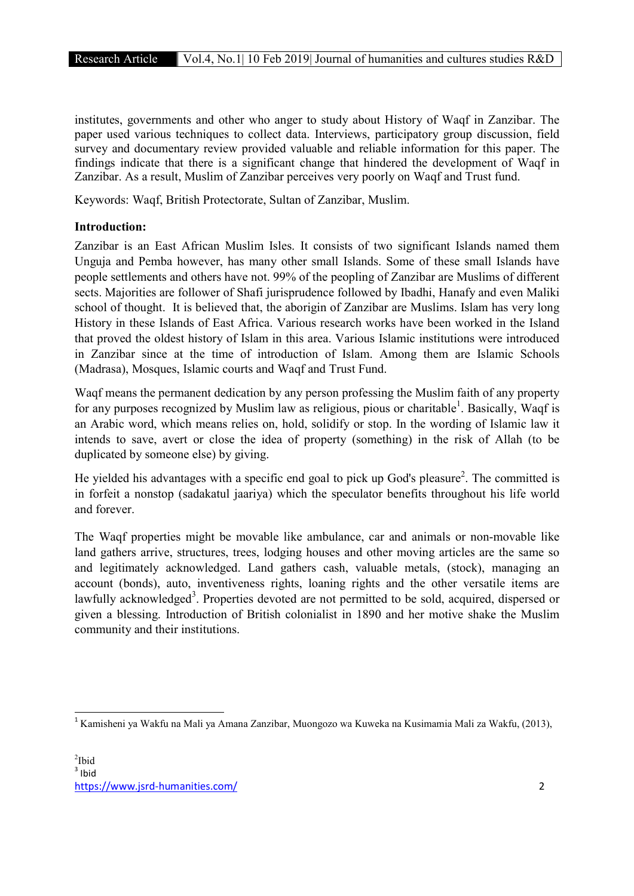institutes, governments and other who anger to study about History of Waqf in Zanzibar. The paper used various techniques to collect data. Interviews, participatory group discussion, field survey and documentary review provided valuable and reliable information for this paper. The findings indicate that there is a significant change that hindered the development of Waqf in Zanzibar. As a result, Muslim of Zanzibar perceives very poorly on Waqf and Trust fund.

Keywords: Waqf, British Protectorate, Sultan of Zanzibar, Muslim.

# Introduction:

Zanzibar is an East African Muslim Isles. It consists of two significant Islands named them Unguja and Pemba however, has many other small Islands. Some of these small Islands have people settlements and others have not. 99% of the peopling of Zanzibar are Muslims of different sects. Majorities are follower of Shafi jurisprudence followed by Ibadhi, Hanafy and even Maliki school of thought. It is believed that, the aborigin of Zanzibar are Muslims. Islam has very long History in these Islands of East Africa. Various research works have been worked in the Island that proved the oldest history of Islam in this area. Various Islamic institutions were introduced in Zanzibar since at the time of introduction of Islam. Among them are Islamic Schools (Madrasa), Mosques, Islamic courts and Waqf and Trust Fund.

Waqf means the permanent dedication by any person professing the Muslim faith of any property for any purposes recognized by Muslim law as religious, pious or charitable<sup>1</sup>. Basically, Waqf is an Arabic word, which means relies on, hold, solidify or stop. In the wording of Islamic law it intends to save, avert or close the idea of property (something) in the risk of Allah (to be duplicated by someone else) by giving.

He yielded his advantages with a specific end goal to pick up God's pleasure<sup>2</sup>. The committed is in forfeit a nonstop (sadakatul jaariya) which the speculator benefits throughout his life world and forever.

The Waqf properties might be movable like ambulance, car and animals or non-movable like land gathers arrive, structures, trees, lodging houses and other moving articles are the same so and legitimately acknowledged. Land gathers cash, valuable metals, (stock), managing an account (bonds), auto, inventiveness rights, loaning rights and the other versatile items are lawfully acknowledged<sup>3</sup>. Properties devoted are not permitted to be sold, acquired, dispersed or given a blessing. Introduction of British colonialist in 1890 and her motive shake the Muslim community and their institutions.

 <sup>1</sup> Kamisheni ya Wakfu na Mali ya Amana Zanzibar, Muongozo wa Kuweka na Kusimamia Mali za Wakfu, (2013),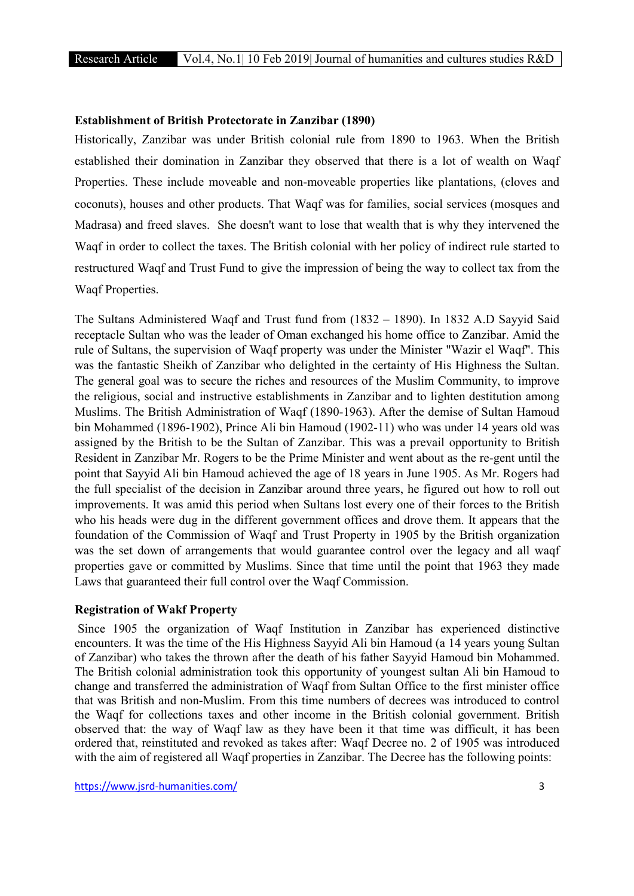#### Establishment of British Protectorate in Zanzibar (1890)

Historically, Zanzibar was under British colonial rule from 1890 to 1963. When the British established their domination in Zanzibar they observed that there is a lot of wealth on Waqf Properties. These include moveable and non-moveable properties like plantations, (cloves and coconuts), houses and other products. That Waqf was for families, social services (mosques and Madrasa) and freed slaves. She doesn't want to lose that wealth that is why they intervened the Waqf in order to collect the taxes. The British colonial with her policy of indirect rule started to restructured Waqf and Trust Fund to give the impression of being the way to collect tax from the Waqf Properties.

The Sultans Administered Waqf and Trust fund from (1832 – 1890). In 1832 A.D Sayyid Said receptacle Sultan who was the leader of Oman exchanged his home office to Zanzibar. Amid the rule of Sultans, the supervision of Waqf property was under the Minister "Wazir el Waqf". This was the fantastic Sheikh of Zanzibar who delighted in the certainty of His Highness the Sultan. The general goal was to secure the riches and resources of the Muslim Community, to improve the religious, social and instructive establishments in Zanzibar and to lighten destitution among Muslims. The British Administration of Waqf (1890-1963). After the demise of Sultan Hamoud bin Mohammed (1896-1902), Prince Ali bin Hamoud (1902-11) who was under 14 years old was assigned by the British to be the Sultan of Zanzibar. This was a prevail opportunity to British Resident in Zanzibar Mr. Rogers to be the Prime Minister and went about as the re-gent until the point that Sayyid Ali bin Hamoud achieved the age of 18 years in June 1905. As Mr. Rogers had the full specialist of the decision in Zanzibar around three years, he figured out how to roll out improvements. It was amid this period when Sultans lost every one of their forces to the British who his heads were dug in the different government offices and drove them. It appears that the foundation of the Commission of Waqf and Trust Property in 1905 by the British organization was the set down of arrangements that would guarantee control over the legacy and all waqf properties gave or committed by Muslims. Since that time until the point that 1963 they made Laws that guaranteed their full control over the Waqf Commission.

#### Registration of Wakf Property

Since 1905 the organization of Waqf Institution in Zanzibar has experienced distinctive encounters. It was the time of the His Highness Sayyid Ali bin Hamoud (a 14 years young Sultan of Zanzibar) who takes the thrown after the death of his father Sayyid Hamoud bin Mohammed. The British colonial administration took this opportunity of youngest sultan Ali bin Hamoud to change and transferred the administration of Waqf from Sultan Office to the first minister office that was British and non-Muslim. From this time numbers of decrees was introduced to control the Waqf for collections taxes and other income in the British colonial government. British observed that: the way of Waqf law as they have been it that time was difficult, it has been ordered that, reinstituted and revoked as takes after: Waqf Decree no. 2 of 1905 was introduced with the aim of registered all Waqf properties in Zanzibar. The Decree has the following points: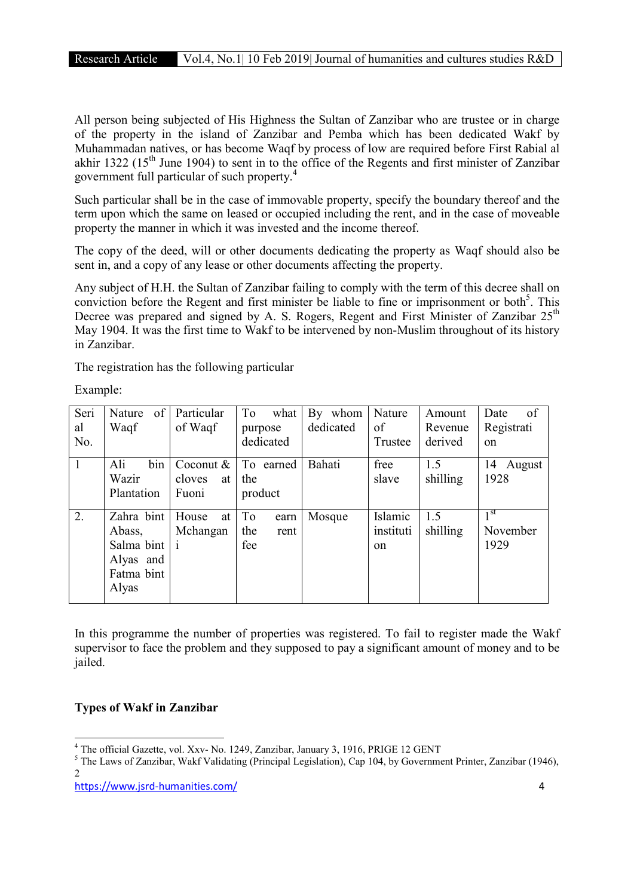All person being subjected of His Highness the Sultan of Zanzibar who are trustee or in charge of the property in the island of Zanzibar and Pemba which has been dedicated Wakf by Muhammadan natives, or has become Waqf by process of low are required before First Rabial al akhir 1322 ( $15<sup>th</sup>$  June 1904) to sent in to the office of the Regents and first minister of Zanzibar government full particular of such property.<sup>4</sup>

Such particular shall be in the case of immovable property, specify the boundary thereof and the term upon which the same on leased or occupied including the rent, and in the case of moveable property the manner in which it was invested and the income thereof.

The copy of the deed, will or other documents dedicating the property as Waqf should also be sent in, and a copy of any lease or other documents affecting the property.

Any subject of H.H. the Sultan of Zanzibar failing to comply with the term of this decree shall on conviction before the Regent and first minister be liable to fine or imprisonment or both<sup>5</sup>. This Decree was prepared and signed by A. S. Rogers, Regent and First Minister of Zanzibar 25<sup>th</sup> May 1904. It was the first time to Wakf to be intervened by non-Muslim throughout of its history in Zanzibar.

The registration has the following particular

Example:

| Seri<br>al<br>No. | of<br>Nature<br>Waqf                                                     | Particular<br>of Waqf              | To<br>what<br>purpose<br>dedicated | By whom<br>dedicated | Nature<br>of<br>Trustee    | Amount<br>Revenue<br>derived | of<br>Date<br>Registrati<br>on      |
|-------------------|--------------------------------------------------------------------------|------------------------------------|------------------------------------|----------------------|----------------------------|------------------------------|-------------------------------------|
| $\mathbf{1}$      | bin<br>Ali<br>Wazir<br>Plantation                                        | Coconut &<br>cloves<br>at<br>Fuoni | To earned<br>the<br>product        | Bahati               | free<br>slave              | 1.5<br>shilling              | 14 August<br>1928                   |
| 2.                | Zahra bint<br>Abass,<br>Salma bint i<br>Alyas and<br>Fatma bint<br>Alyas | House<br>at<br>Mchangan            | To<br>earn<br>the<br>rent<br>fee   | Mosque               | Islamic<br>instituti<br>on | 1.5<br>shilling              | 1 <sup>st</sup><br>November<br>1929 |

In this programme the number of properties was registered. To fail to register made the Wakf supervisor to face the problem and they supposed to pay a significant amount of money and to be jailed.

# Types of Wakf in Zanzibar

<sup>&</sup>lt;sup>4</sup> The official Gazette, vol. Xxv- No. 1249, Zanzibar, January 3, 1916, PRIGE 12 GENT<br><sup>5</sup> The Laws of Zanzibar, Wakf Validating (Principal Legislation), Cap 104, by Government Printer, Zanzibar (1946), 2

https://www.jsrd-humanities.com/ 4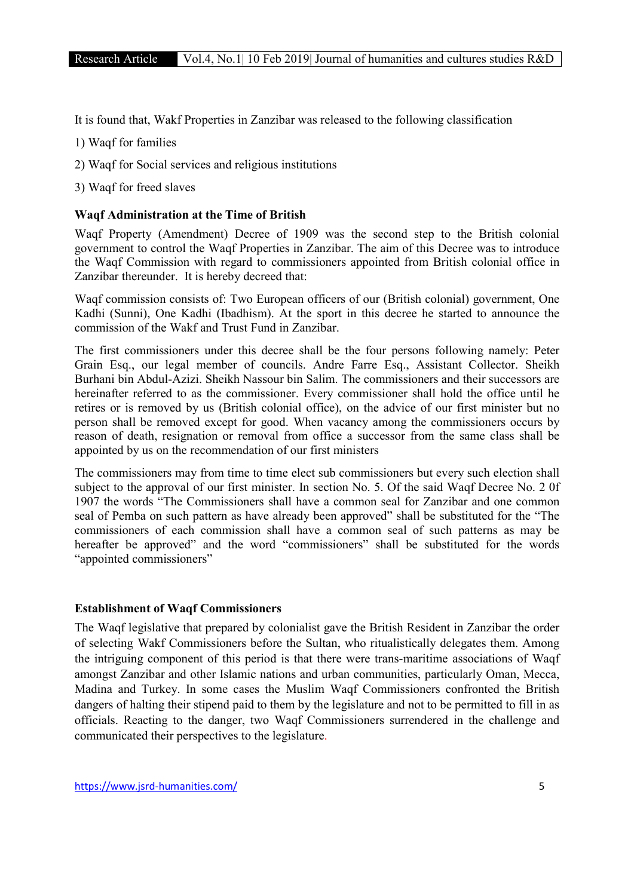It is found that, Wakf Properties in Zanzibar was released to the following classification

- 1) Waqf for families
- 2) Waqf for Social services and religious institutions
- 3) Waqf for freed slaves

## Waqf Administration at the Time of British

Waqf Property (Amendment) Decree of 1909 was the second step to the British colonial government to control the Waqf Properties in Zanzibar. The aim of this Decree was to introduce the Waqf Commission with regard to commissioners appointed from British colonial office in Zanzibar thereunder. It is hereby decreed that:

Waqf commission consists of: Two European officers of our (British colonial) government, One Kadhi (Sunni), One Kadhi (Ibadhism). At the sport in this decree he started to announce the commission of the Wakf and Trust Fund in Zanzibar.

The first commissioners under this decree shall be the four persons following namely: Peter Grain Esq., our legal member of councils. Andre Farre Esq., Assistant Collector. Sheikh Burhani bin Abdul-Azizi. Sheikh Nassour bin Salim. The commissioners and their successors are hereinafter referred to as the commissioner. Every commissioner shall hold the office until he retires or is removed by us (British colonial office), on the advice of our first minister but no person shall be removed except for good. When vacancy among the commissioners occurs by reason of death, resignation or removal from office a successor from the same class shall be appointed by us on the recommendation of our first ministers

The commissioners may from time to time elect sub commissioners but every such election shall subject to the approval of our first minister. In section No. 5. Of the said Waqf Decree No. 2 0f 1907 the words "The Commissioners shall have a common seal for Zanzibar and one common seal of Pemba on such pattern as have already been approved" shall be substituted for the "The commissioners of each commission shall have a common seal of such patterns as may be hereafter be approved" and the word "commissioners" shall be substituted for the words "appointed commissioners"

#### Establishment of Waqf Commissioners

The Waqf legislative that prepared by colonialist gave the British Resident in Zanzibar the order of selecting Wakf Commissioners before the Sultan, who ritualistically delegates them. Among the intriguing component of this period is that there were trans-maritime associations of Waqf amongst Zanzibar and other Islamic nations and urban communities, particularly Oman, Mecca, Madina and Turkey. In some cases the Muslim Waqf Commissioners confronted the British dangers of halting their stipend paid to them by the legislature and not to be permitted to fill in as officials. Reacting to the danger, two Waqf Commissioners surrendered in the challenge and communicated their perspectives to the legislature.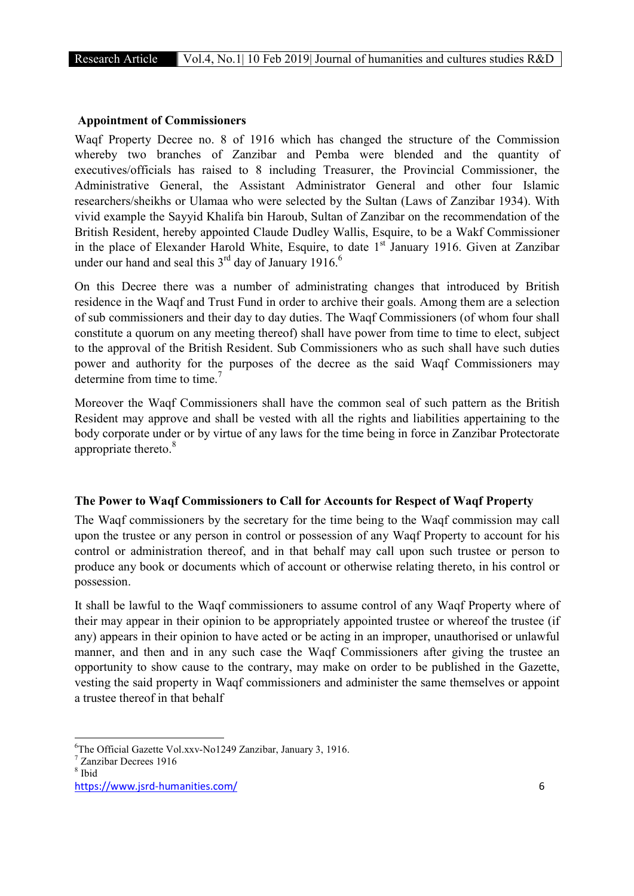## Appointment of Commissioners

Waqf Property Decree no. 8 of 1916 which has changed the structure of the Commission whereby two branches of Zanzibar and Pemba were blended and the quantity of executives/officials has raised to 8 including Treasurer, the Provincial Commissioner, the Administrative General, the Assistant Administrator General and other four Islamic researchers/sheikhs or Ulamaa who were selected by the Sultan (Laws of Zanzibar 1934). With vivid example the Sayyid Khalifa bin Haroub, Sultan of Zanzibar on the recommendation of the British Resident, hereby appointed Claude Dudley Wallis, Esquire, to be a Wakf Commissioner in the place of Elexander Harold White, Esquire, to date 1<sup>st</sup> January 1916. Given at Zanzibar under our hand and seal this  $3<sup>rd</sup>$  day of January 1916.<sup>6</sup>

On this Decree there was a number of administrating changes that introduced by British residence in the Waqf and Trust Fund in order to archive their goals. Among them are a selection of sub commissioners and their day to day duties. The Waqf Commissioners (of whom four shall constitute a quorum on any meeting thereof) shall have power from time to time to elect, subject to the approval of the British Resident. Sub Commissioners who as such shall have such duties power and authority for the purposes of the decree as the said Waqf Commissioners may determine from time to time.<sup>7</sup>

Moreover the Waqf Commissioners shall have the common seal of such pattern as the British Resident may approve and shall be vested with all the rights and liabilities appertaining to the body corporate under or by virtue of any laws for the time being in force in Zanzibar Protectorate appropriate thereto.<sup>8</sup>

#### The Power to Waqf Commissioners to Call for Accounts for Respect of Waqf Property

The Waqf commissioners by the secretary for the time being to the Waqf commission may call upon the trustee or any person in control or possession of any Waqf Property to account for his control or administration thereof, and in that behalf may call upon such trustee or person to produce any book or documents which of account or otherwise relating thereto, in his control or possession.

It shall be lawful to the Waqf commissioners to assume control of any Waqf Property where of their may appear in their opinion to be appropriately appointed trustee or whereof the trustee (if any) appears in their opinion to have acted or be acting in an improper, unauthorised or unlawful manner, and then and in any such case the Waqf Commissioners after giving the trustee an opportunity to show cause to the contrary, may make on order to be published in the Gazette, vesting the said property in Waqf commissioners and administer the same themselves or appoint a trustee thereof in that behalf

 $\frac{1}{6}$ <sup>6</sup>The Official Gazette Vol.xxv-No1249 Zanzibar, January 3, 1916.<br><sup>7</sup> Zanzibar Decrees 1916

<sup>8</sup> Ibid

https://www.jsrd-humanities.com/ 6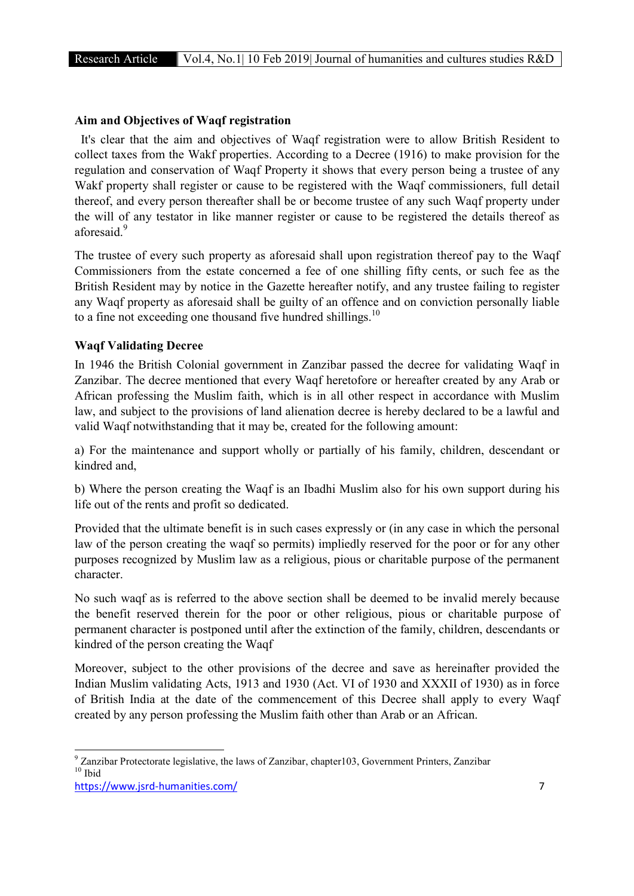# Aim and Objectives of Waqf registration

 It's clear that the aim and objectives of Waqf registration were to allow British Resident to collect taxes from the Wakf properties. According to a Decree (1916) to make provision for the regulation and conservation of Waqf Property it shows that every person being a trustee of any Wakf property shall register or cause to be registered with the Waqf commissioners, full detail thereof, and every person thereafter shall be or become trustee of any such Waqf property under the will of any testator in like manner register or cause to be registered the details thereof as aforesaid.<sup>9</sup>

The trustee of every such property as aforesaid shall upon registration thereof pay to the Waqf Commissioners from the estate concerned a fee of one shilling fifty cents, or such fee as the British Resident may by notice in the Gazette hereafter notify, and any trustee failing to register any Waqf property as aforesaid shall be guilty of an offence and on conviction personally liable to a fine not exceeding one thousand five hundred shillings.<sup>10</sup>

# Waqf Validating Decree

In 1946 the British Colonial government in Zanzibar passed the decree for validating Waqf in Zanzibar. The decree mentioned that every Waqf heretofore or hereafter created by any Arab or African professing the Muslim faith, which is in all other respect in accordance with Muslim law, and subject to the provisions of land alienation decree is hereby declared to be a lawful and valid Waqf notwithstanding that it may be, created for the following amount:

a) For the maintenance and support wholly or partially of his family, children, descendant or kindred and,

b) Where the person creating the Waqf is an Ibadhi Muslim also for his own support during his life out of the rents and profit so dedicated.

Provided that the ultimate benefit is in such cases expressly or (in any case in which the personal law of the person creating the waqf so permits) impliedly reserved for the poor or for any other purposes recognized by Muslim law as a religious, pious or charitable purpose of the permanent character.

No such waqf as is referred to the above section shall be deemed to be invalid merely because the benefit reserved therein for the poor or other religious, pious or charitable purpose of permanent character is postponed until after the extinction of the family, children, descendants or kindred of the person creating the Waqf

Moreover, subject to the other provisions of the decree and save as hereinafter provided the Indian Muslim validating Acts, 1913 and 1930 (Act. VI of 1930 and XXXII of 1930) as in force of British India at the date of the commencement of this Decree shall apply to every Waqf created by any person professing the Muslim faith other than Arab or an African.

https://www.jsrd-humanities.com/ 7 <sup>9</sup> Zanzibar Protectorate legislative, the laws of Zanzibar, chapter103, Government Printers, Zanzibar  $^{10}$  Ibid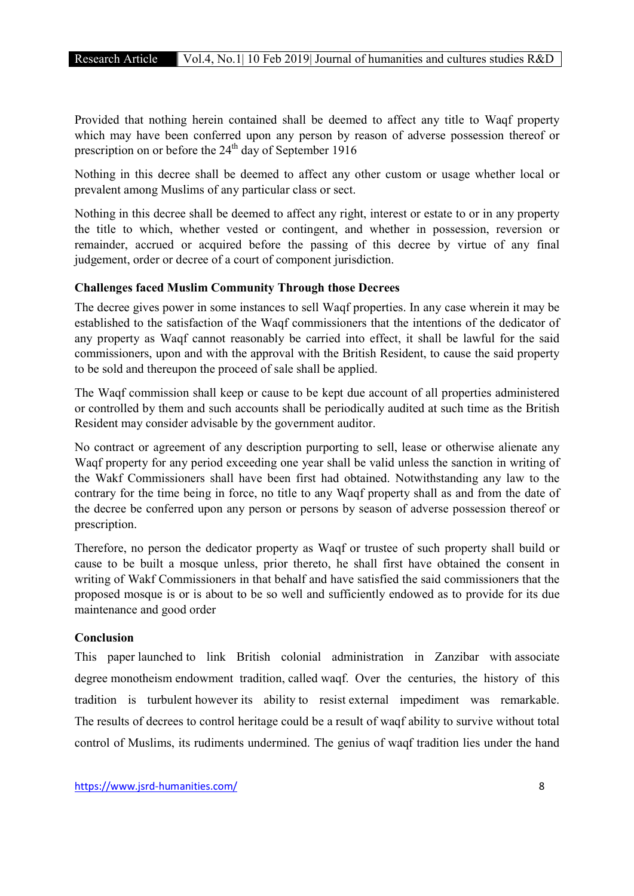Provided that nothing herein contained shall be deemed to affect any title to Waqf property which may have been conferred upon any person by reason of adverse possession thereof or prescription on or before the  $24<sup>th</sup>$  day of September 1916

Nothing in this decree shall be deemed to affect any other custom or usage whether local or prevalent among Muslims of any particular class or sect.

Nothing in this decree shall be deemed to affect any right, interest or estate to or in any property the title to which, whether vested or contingent, and whether in possession, reversion or remainder, accrued or acquired before the passing of this decree by virtue of any final judgement, order or decree of a court of component jurisdiction.

#### Challenges faced Muslim Community Through those Decrees

The decree gives power in some instances to sell Waqf properties. In any case wherein it may be established to the satisfaction of the Waqf commissioners that the intentions of the dedicator of any property as Waqf cannot reasonably be carried into effect, it shall be lawful for the said commissioners, upon and with the approval with the British Resident, to cause the said property to be sold and thereupon the proceed of sale shall be applied.

The Waqf commission shall keep or cause to be kept due account of all properties administered or controlled by them and such accounts shall be periodically audited at such time as the British Resident may consider advisable by the government auditor.

No contract or agreement of any description purporting to sell, lease or otherwise alienate any Waqf property for any period exceeding one year shall be valid unless the sanction in writing of the Wakf Commissioners shall have been first had obtained. Notwithstanding any law to the contrary for the time being in force, no title to any Waqf property shall as and from the date of the decree be conferred upon any person or persons by season of adverse possession thereof or prescription.

Therefore, no person the dedicator property as Waqf or trustee of such property shall build or cause to be built a mosque unless, prior thereto, he shall first have obtained the consent in writing of Wakf Commissioners in that behalf and have satisfied the said commissioners that the proposed mosque is or is about to be so well and sufficiently endowed as to provide for its due maintenance and good order

## Conclusion

This paper launched to link British colonial administration in Zanzibar with associate degree monotheism endowment tradition, called waqf. Over the centuries, the history of this tradition is turbulent however its ability to resist external impediment was remarkable. The results of decrees to control heritage could be a result of waqf ability to survive without total control of Muslims, its rudiments undermined. The genius of waqf tradition lies under the hand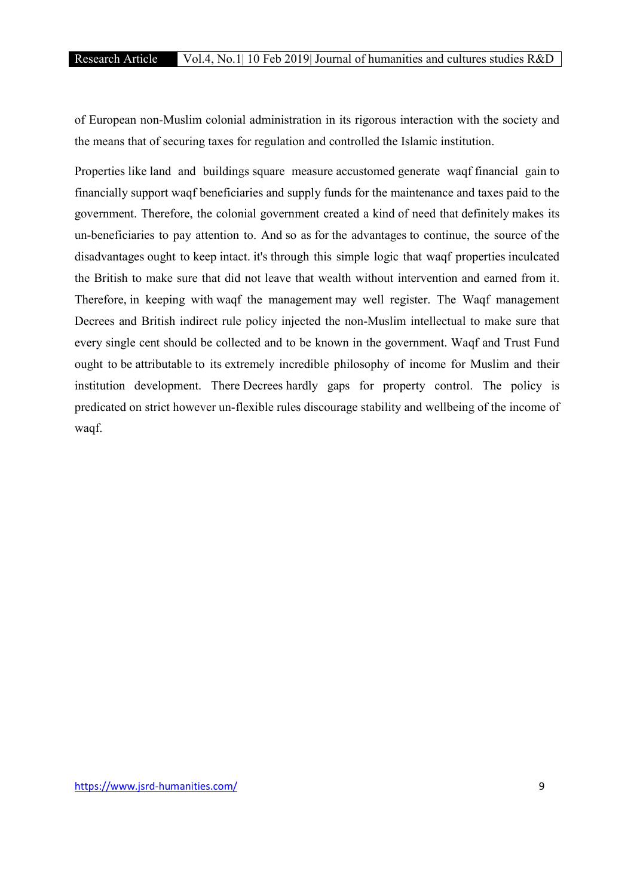of European non-Muslim colonial administration in its rigorous interaction with the society and the means that of securing taxes for regulation and controlled the Islamic institution.

Properties like land and buildings square measure accustomed generate waqf financial gain to financially support waqf beneficiaries and supply funds for the maintenance and taxes paid to the government. Therefore, the colonial government created a kind of need that definitely makes its un-beneficiaries to pay attention to. And so as for the advantages to continue, the source of the disadvantages ought to keep intact. it's through this simple logic that waqf properties inculcated the British to make sure that did not leave that wealth without intervention and earned from it. Therefore, in keeping with waqf the management may well register. The Waqf management Decrees and British indirect rule policy injected the non-Muslim intellectual to make sure that every single cent should be collected and to be known in the government. Waqf and Trust Fund ought to be attributable to its extremely incredible philosophy of income for Muslim and their institution development. There Decrees hardly gaps for property control. The policy is predicated on strict however un-flexible rules discourage stability and wellbeing of the income of waqf.